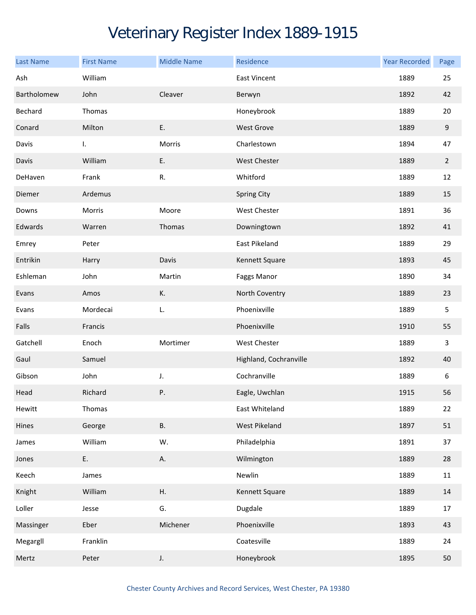## Veterinary Register Index 1889-1915

| <b>Last Name</b> | <b>First Name</b> | <b>Middle Name</b> | Residence              | <b>Year Recorded</b> | Page           |
|------------------|-------------------|--------------------|------------------------|----------------------|----------------|
| Ash              | William           |                    | East Vincent           | 1889                 | 25             |
| Bartholomew      | John              | Cleaver            | Berwyn                 | 1892                 | 42             |
| Bechard          | Thomas            |                    | Honeybrook             | 1889                 | 20             |
| Conard           | Milton            | Ε.                 | <b>West Grove</b>      | 1889                 | 9              |
| Davis            | L.                | Morris             | Charlestown            | 1894                 | 47             |
| Davis            | William           | E.                 | <b>West Chester</b>    | 1889                 | $\overline{2}$ |
| DeHaven          | Frank             | R.                 | Whitford               | 1889                 | 12             |
| Diemer           | Ardemus           |                    | <b>Spring City</b>     | 1889                 | 15             |
| Downs            | Morris            | Moore              | West Chester           | 1891                 | 36             |
| Edwards          | Warren            | Thomas             | Downingtown            | 1892                 | 41             |
| Emrey            | Peter             |                    | East Pikeland          | 1889                 | 29             |
| Entrikin         | Harry             | Davis              | Kennett Square         | 1893                 | 45             |
| Eshleman         | John              | Martin             | Faggs Manor            | 1890                 | 34             |
| Evans            | Amos              | К.                 | North Coventry         | 1889                 | 23             |
| Evans            | Mordecai          | L.                 | Phoenixville           | 1889                 | 5              |
| Falls            | Francis           |                    | Phoenixville           | 1910                 | 55             |
| Gatchell         | Enoch             | Mortimer           | West Chester           | 1889                 | 3              |
| Gaul             | Samuel            |                    | Highland, Cochranville | 1892                 | 40             |
| Gibson           | John              | J.                 | Cochranville           | 1889                 | 6              |
| Head             | Richard           | Ρ.                 | Eagle, Uwchlan         | 1915                 | 56             |
| Hewitt           | Thomas            |                    | East Whiteland         | 1889                 | 22             |
| Hines            | George            | В.                 | West Pikeland          | 1897                 | 51             |
| James            | William           | W.                 | Philadelphia           | 1891                 | 37             |
| Jones            | Ε.                | А.                 | Wilmington             | 1889                 | 28             |
| Keech            | James             |                    | Newlin                 | 1889                 | $11\,$         |
| Knight           | William           | Η.                 | Kennett Square         | 1889                 | 14             |
| Loller           | Jesse             | G.                 | Dugdale                | 1889                 | 17             |
| Massinger        | Eber              | Michener           | Phoenixville           | 1893                 | 43             |
| Megargll         | Franklin          |                    | Coatesville            | 1889                 | 24             |
| Mertz            | Peter             | J.                 | Honeybrook             | 1895                 | 50             |